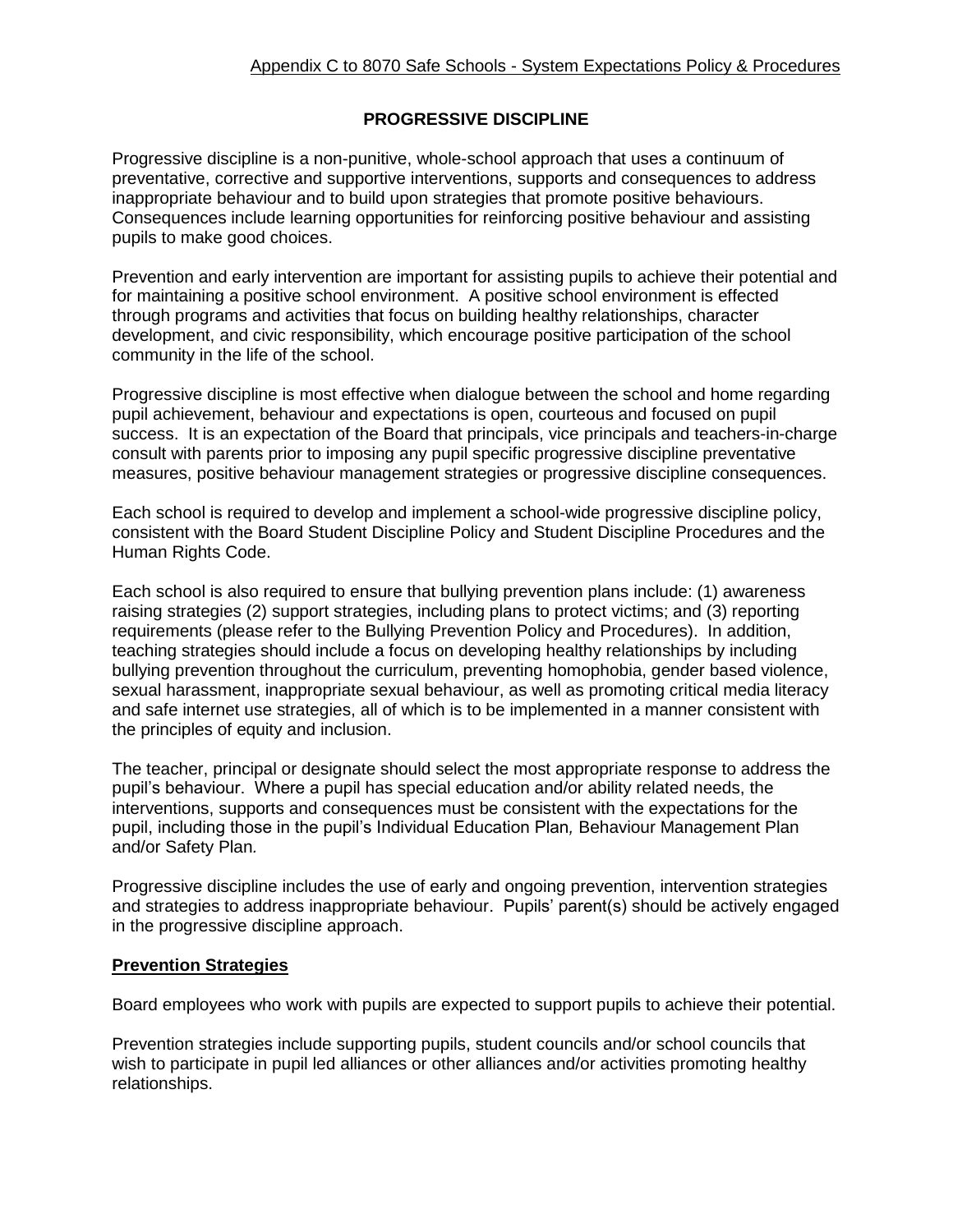# **PROGRESSIVE DISCIPLINE**

Progressive discipline is a non-punitive, whole-school approach that uses a continuum of preventative, corrective and supportive interventions, supports and consequences to address inappropriate behaviour and to build upon strategies that promote positive behaviours. Consequences include learning opportunities for reinforcing positive behaviour and assisting pupils to make good choices.

Prevention and early intervention are important for assisting pupils to achieve their potential and for maintaining a positive school environment. A positive school environment is effected through programs and activities that focus on building healthy relationships, character development, and civic responsibility, which encourage positive participation of the school community in the life of the school.

Progressive discipline is most effective when dialogue between the school and home regarding pupil achievement, behaviour and expectations is open, courteous and focused on pupil success. It is an expectation of the Board that principals, vice principals and teachers-in-charge consult with parents prior to imposing any pupil specific progressive discipline preventative measures, positive behaviour management strategies or progressive discipline consequences.

Each school is required to develop and implement a school-wide progressive discipline policy, consistent with the Board Student Discipline Policy and Student Discipline Procedures and the Human Rights Code.

Each school is also required to ensure that bullying prevention plans include: (1) awareness raising strategies (2) support strategies, including plans to protect victims; and (3) reporting requirements (please refer to the Bullying Prevention Policy and Procedures). In addition, teaching strategies should include a focus on developing healthy relationships by including bullying prevention throughout the curriculum, preventing homophobia, gender based violence, sexual harassment, inappropriate sexual behaviour, as well as promoting critical media literacy and safe internet use strategies, all of which is to be implemented in a manner consistent with the principles of equity and inclusion.

The teacher, principal or designate should select the most appropriate response to address the pupil's behaviour. Where a pupil has special education and/or ability related needs, the interventions, supports and consequences must be consistent with the expectations for the pupil, including those in the pupil's Individual Education Plan*,* Behaviour Management Plan and/or Safety Plan*.*

Progressive discipline includes the use of early and ongoing prevention, intervention strategies and strategies to address inappropriate behaviour. Pupils' parent(s) should be actively engaged in the progressive discipline approach.

# **Prevention Strategies**

Board employees who work with pupils are expected to support pupils to achieve their potential.

Prevention strategies include supporting pupils, student councils and/or school councils that wish to participate in pupil led alliances or other alliances and/or activities promoting healthy relationships.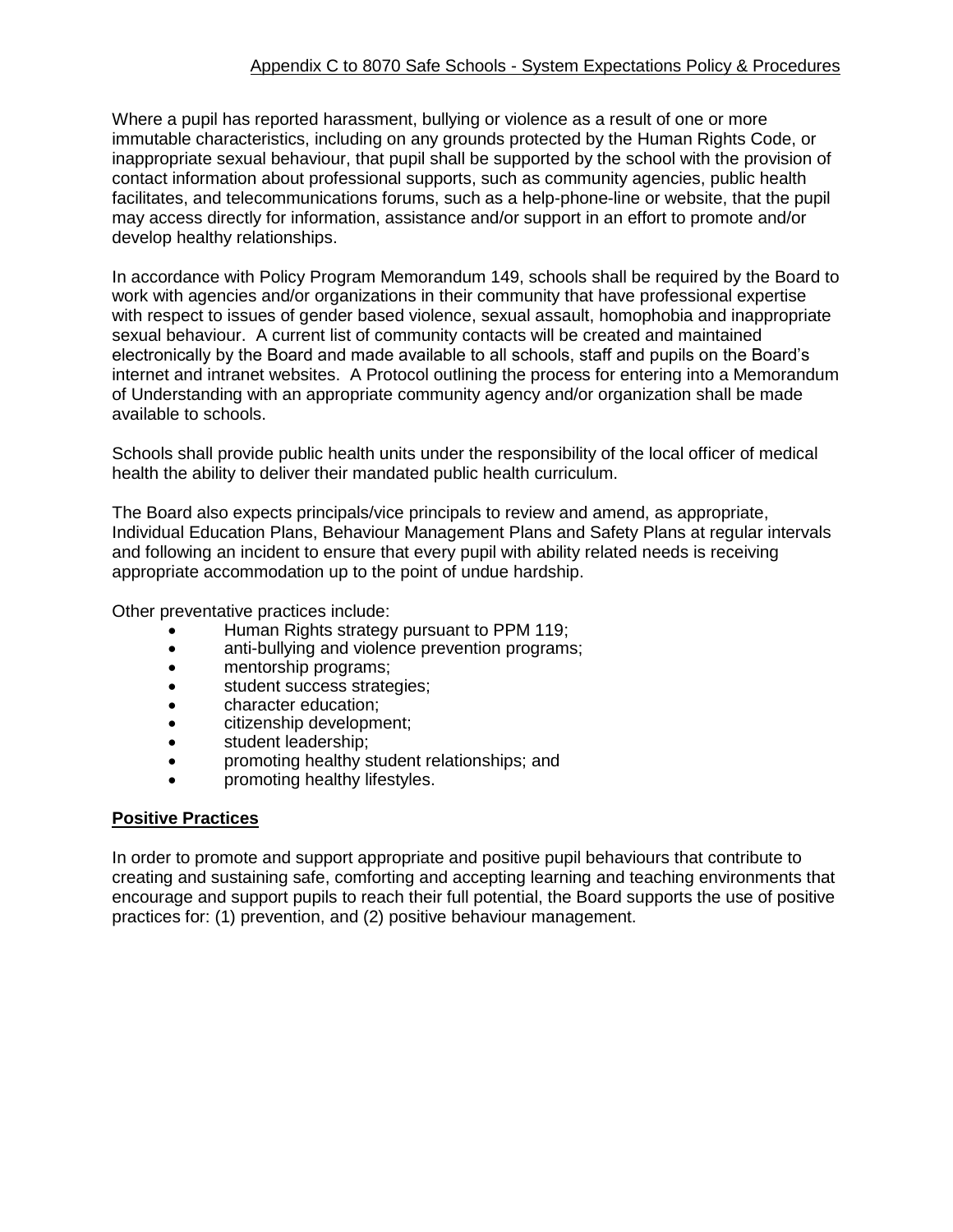# Appendix C to 8070 Safe Schools - System Expectations Policy & Procedures

Where a pupil has reported harassment, bullying or violence as a result of one or more immutable characteristics, including on any grounds protected by the Human Rights Code, or inappropriate sexual behaviour, that pupil shall be supported by the school with the provision of contact information about professional supports, such as community agencies, public health facilitates, and telecommunications forums, such as a help-phone-line or website, that the pupil may access directly for information, assistance and/or support in an effort to promote and/or develop healthy relationships.

In accordance with Policy Program Memorandum 149, schools shall be required by the Board to work with agencies and/or organizations in their community that have professional expertise with respect to issues of gender based violence, sexual assault, homophobia and inappropriate sexual behaviour. A current list of community contacts will be created and maintained electronically by the Board and made available to all schools, staff and pupils on the Board's internet and intranet websites. A Protocol outlining the process for entering into a Memorandum of Understanding with an appropriate community agency and/or organization shall be made available to schools.

Schools shall provide public health units under the responsibility of the local officer of medical health the ability to deliver their mandated public health curriculum.

The Board also expects principals/vice principals to review and amend, as appropriate, Individual Education Plans, Behaviour Management Plans and Safety Plans at regular intervals and following an incident to ensure that every pupil with ability related needs is receiving appropriate accommodation up to the point of undue hardship.

Other preventative practices include:

- Human Rights strategy pursuant to PPM 119;
- anti-bullying and violence prevention programs;
- mentorship programs;
- student success strategies;
- character education;
- citizenship development;
- student leadership;
- promoting healthy student relationships; and
- promoting healthy lifestyles.

#### **Positive Practices**

In order to promote and support appropriate and positive pupil behaviours that contribute to creating and sustaining safe, comforting and accepting learning and teaching environments that encourage and support pupils to reach their full potential, the Board supports the use of positive practices for: (1) prevention, and (2) positive behaviour management.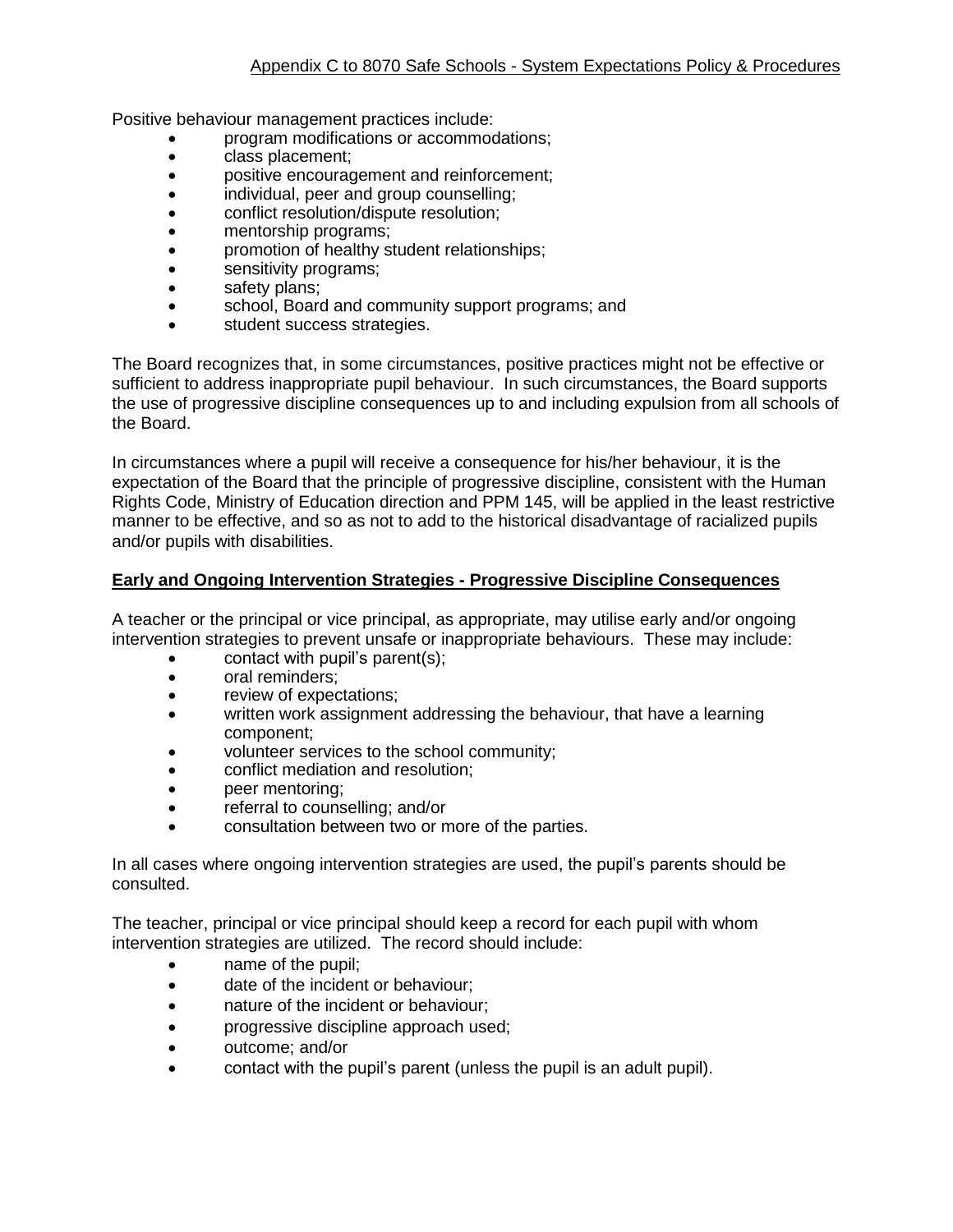Positive behaviour management practices include:

- program modifications or accommodations;
- class placement:
- positive encouragement and reinforcement;
- individual, peer and group counselling;
- conflict resolution/dispute resolution;
- mentorship programs;
- promotion of healthy student relationships;
- sensitivity programs;
- safety plans;
- school, Board and community support programs; and
- student success strategies.

The Board recognizes that, in some circumstances, positive practices might not be effective or sufficient to address inappropriate pupil behaviour. In such circumstances, the Board supports the use of progressive discipline consequences up to and including expulsion from all schools of the Board.

In circumstances where a pupil will receive a consequence for his/her behaviour, it is the expectation of the Board that the principle of progressive discipline, consistent with the Human Rights Code, Ministry of Education direction and PPM 145, will be applied in the least restrictive manner to be effective, and so as not to add to the historical disadvantage of racialized pupils and/or pupils with disabilities.

#### **Early and Ongoing Intervention Strategies - Progressive Discipline Consequences**

A teacher or the principal or vice principal, as appropriate, may utilise early and/or ongoing intervention strategies to prevent unsafe or inappropriate behaviours. These may include:

- contact with pupil's parent(s);
- oral reminders;
- review of expectations;
- written work assignment addressing the behaviour, that have a learning component;
- volunteer services to the school community;
- conflict mediation and resolution;
- peer mentoring;
- referral to counselling; and/or
- consultation between two or more of the parties.

In all cases where ongoing intervention strategies are used, the pupil's parents should be consulted.

The teacher, principal or vice principal should keep a record for each pupil with whom intervention strategies are utilized. The record should include:

- name of the pupil;
- $\bullet$  date of the incident or behaviour;
- nature of the incident or behaviour;
- **•** progressive discipline approach used;
- outcome; and/or
- contact with the pupil's parent (unless the pupil is an adult pupil).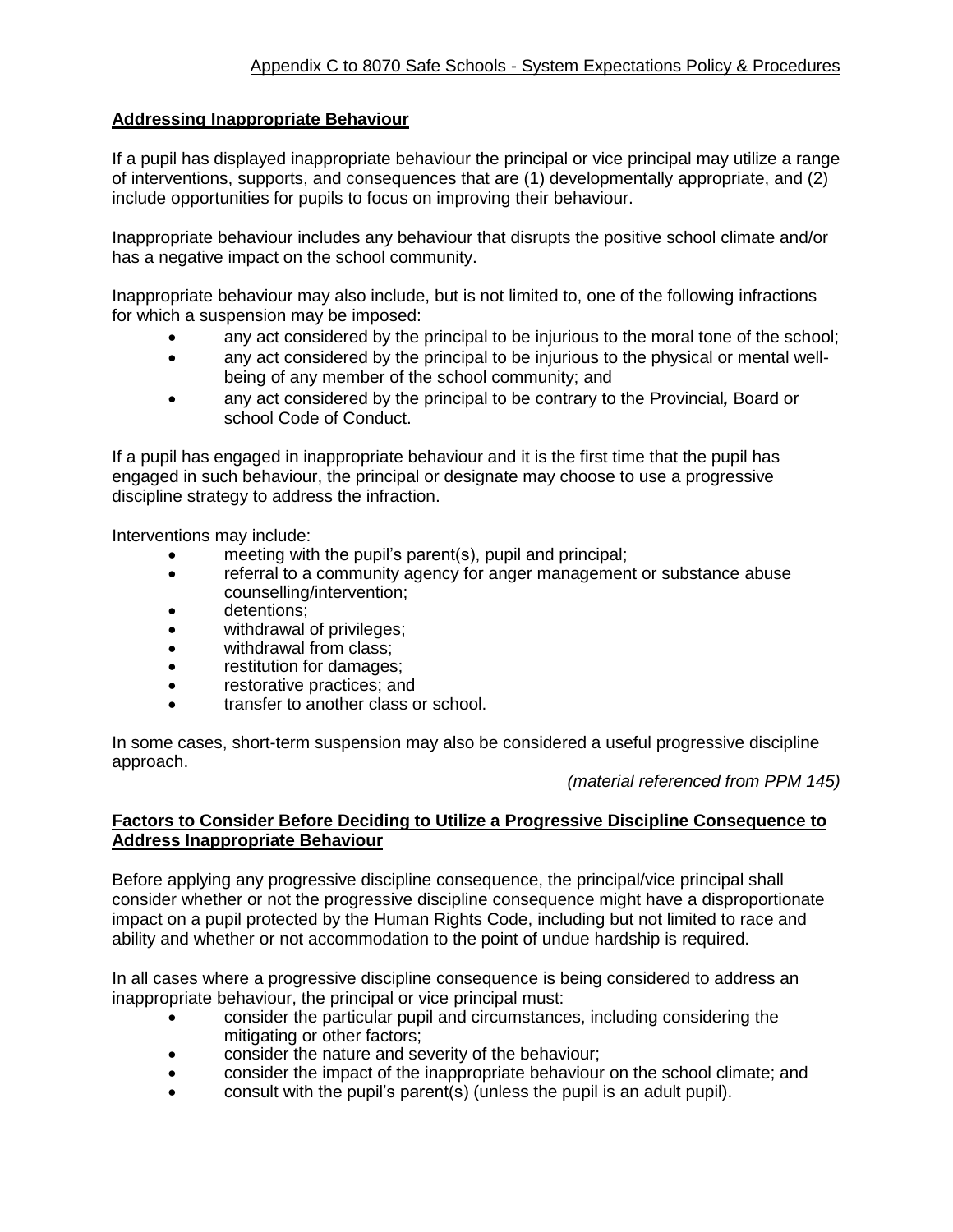# **Addressing Inappropriate Behaviour**

If a pupil has displayed inappropriate behaviour the principal or vice principal may utilize a range of interventions, supports, and consequences that are (1) developmentally appropriate, and (2) include opportunities for pupils to focus on improving their behaviour.

Inappropriate behaviour includes any behaviour that disrupts the positive school climate and/or has a negative impact on the school community.

Inappropriate behaviour may also include, but is not limited to, one of the following infractions for which a suspension may be imposed:

- any act considered by the principal to be injurious to the moral tone of the school;
- any act considered by the principal to be injurious to the physical or mental wellbeing of any member of the school community; and
- any act considered by the principal to be contrary to the Provincial*,* Board or school Code of Conduct.

If a pupil has engaged in inappropriate behaviour and it is the first time that the pupil has engaged in such behaviour, the principal or designate may choose to use a progressive discipline strategy to address the infraction.

Interventions may include:

- meeting with the pupil's parent(s), pupil and principal;
- referral to a community agency for anger management or substance abuse counselling/intervention;
- detentions;
- withdrawal of privileges;
- withdrawal from class;
- restitution for damages;
- restorative practices; and
- transfer to another class or school.

In some cases, short-term suspension may also be considered a useful progressive discipline approach.

*(material referenced from PPM 145)*

# **Factors to Consider Before Deciding to Utilize a Progressive Discipline Consequence to Address Inappropriate Behaviour**

Before applying any progressive discipline consequence, the principal/vice principal shall consider whether or not the progressive discipline consequence might have a disproportionate impact on a pupil protected by the Human Rights Code, including but not limited to race and ability and whether or not accommodation to the point of undue hardship is required.

In all cases where a progressive discipline consequence is being considered to address an inappropriate behaviour, the principal or vice principal must:

- consider the particular pupil and circumstances, including considering the mitigating or other factors;
- consider the nature and severity of the behaviour;
- consider the impact of the inappropriate behaviour on the school climate; and
- consult with the pupil's parent(s) (unless the pupil is an adult pupil).